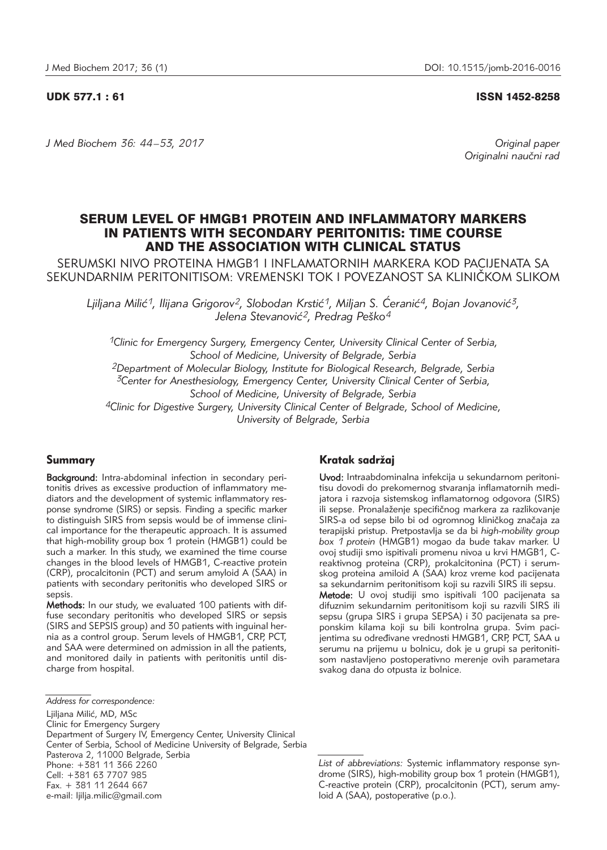# UDK 577.1 : 61 ISSN 1452-8258

*J Med Biochem 36: 44 –53, 2017 Original paper*

Originalni naučni rad

# SERUM LEVEL OF HMGB1 PROTEIN AND INFLAMMATORY MARKERS IN PATIENTS WITH SECONDARY PERITONITIS: TIME COURSE AND THE ASSOCIATION WITH CLINICAL STATUS

SERUMSKI NIVO PROTEINA HMGB1 I INFLAMATORNIH MARKERA KOD PACIJENATA SA SEKUNDARNIM PERITONITISOM: VREMENSKI TOK I POVEZANOST SA KLINIČKOM SLIKOM

Ljiljana Milić<sup>1</sup>, Ilijana Grigorov<sup>2</sup>, Slobodan Krstić<sup>1</sup>, Miljan S. Ćeranić<sup>4</sup>, Bojan Jovanović<sup>3</sup>, Jelena Stevanović<sup>2</sup>, Predrag Peško<sup>4</sup>

*1Clinic for Emergency Surgery, Emergency Center, University Clinical Center of Serbia, School of Medicine, University of Belgrade, Serbia 2Department of Molecular Biology, Institute for Biological Research, Belgrade, Serbia 3Center for Anesthesiology, Emergency Center, University Clinical Center of Serbia, School of Medicine, University of Belgrade, Serbia 4Clinic for Digestive Surgery, University Clinical Center of Belgrade, School of Medicine, University of Belgrade, Serbia*

# Summary

Background: Intra-abdominal infection in secondary peritonitis drives as excessive production of inflammatory me diators and the development of systemic inflammatory response syndrome (SIRS) or sepsis. Finding a specific marker to distinguish SIRS from sepsis would be of immense clinical importance for the therapeutic approach. It is assumed that high-mobility group box 1 protein (HMGB1) could be such a marker. In this study, we examined the time course changes in the blood levels of HMGB1, C-reactive protein (CRP), procalcitonin (PCT) and serum amyloid A (SAA) in patients with secondary peritonitis who developed SIRS or sepsis.

Methods: In our study, we evaluated 100 patients with diffuse secondary peritonitis who developed SIRS or sepsis (SIRS and SEPSIS group) and 30 patients with inguinal hernia as a control group. Serum levels of HMGB1, CRP, PCT, and SAA were determined on admission in all the patients, and monitored daily in patients with peritonitis until discharge from hospital.

# Kratak sadržaj

Uvod: Intraabdominalna infekcija u sekundarnom peritonitisu dovodi do prekomernog stvaranja inflamatornih medijatora i razvoja sistemskog inflamatornog odgovora (SIRS) ili sepse. Pronalaženje specifičnog markera za razlikovanje SIRS-a od sepse bilo bi od ogromnog kliničkog značaja za terapijski pristup. Pretpostavlja se da bi *high-mobility group box 1 protein* (HMGB1) mogao da bude takav marker. U ovoj studiji smo ispitivali promenu nivoa u krvi HMGB1, Creaktivnog proteina (CRP), prokalcitonina (PCT) i serumskog proteina amiloid A (SAA) kroz vreme kod pacijenata sa sekundarnim peritonitisom koji su razvili SIRS ili sepsu. Metode: U ovoj studiji smo ispitivali 100 pacijenata sa difuznim sekundarnim peritonitisom koji su razvili SIRS ili sepsu (grupa SIRS i grupa SEPSA) i 30 pacijenata sa preponskim kilama koji su bili kontrolna grupa. Svim pacijentima su određivane vrednosti HMGB1, CRP, PCT, SAA u serumu na prijemu u bolnicu, dok je u grupi sa peritonitisom nastavljeno postoperativno merenje ovih parametara

svakog dana do otpusta iz bolnice.

*Address for correspondence:* 

Liiliana Milić, MD, MSc

Clinic for Emergency Surgery Department of Surgery IV, Emergency Center, University Clinical Center of Serbia, School of Medicine University of Belgrade, Serbia Pasterova 2, 11000 Belgrade, Serbia Phone: +381 11 366 2260 Cell: +381 63 7707 985 Fax. + 381 11 2644 667 e-mail: ljilja.milic@gmail.com

*List of abbreviations:* Systemic inflammatory response syndrome (SIRS), high-mobility group box 1 protein (HMGB1), C-reactive protein (CRP), procalcitonin (PCT), serum amyloid A (SAA), postoperative (p.o.).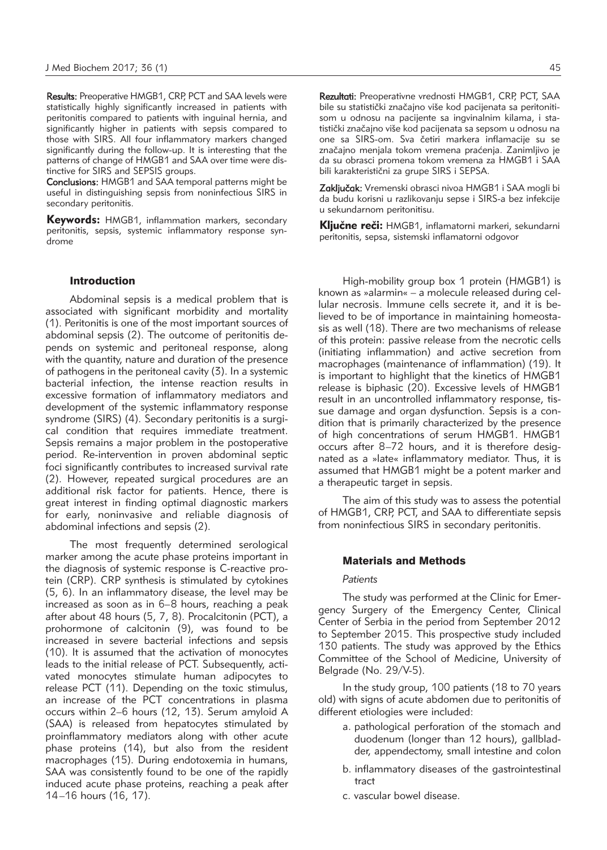Results: Preoperative HMGB1, CRP, PCT and SAA levels were statistically highly significantly increased in patients with pe ritonitis compared to patients with inguinal hernia, and significantly higher in patients with sepsis compared to those with SIRS. All four inflammatory markers changed significantly during the follow-up. It is interesting that the patterns of change of HMGB1 and SAA over time were distinctive for SIRS and SEPSIS groups.

Conclusions: HMGB1 and SAA temporal patterns might be useful in distinguishing sepsis from noninfectious SIRS in secondary peritonitis.

Keywords: HMGB1, inflammation markers, secondary peritonitis, sepsis, systemic inflammatory response syndrome

# Introduction

Abdominal sepsis is a medical problem that is associated with significant morbidity and mortality (1). Peritonitis is one of the most important sources of abdominal sepsis (2). The outcome of peritonitis depends on systemic and peritoneal response, along with the quantity, nature and duration of the presence of pathogens in the peritoneal cavity (3). In a systemic bacterial infection, the intense reaction results in excessive formation of inflammatory mediators and development of the systemic inflammatory response syndrome (SIRS) (4). Secondary peritonitis is a surgical condition that requires immediate treatment. Sepsis remains a major problem in the postoperative period. Re-intervention in proven abdominal septic foci significantly contributes to increased survival rate (2). However, repeated surgical procedures are an additional risk factor for patients. Hence, there is great interest in finding optimal diagnostic markers for early, noninvasive and reliable diagnosis of abdominal infections and sepsis (2).

The most frequently determined serological marker among the acute phase proteins important in the diagnosis of systemic response is C-reactive protein (CRP). CRP synthesis is stimulated by cytokines (5, 6). In an inflammatory disease, the level may be increased as soon as in 6–8 hours, reaching a peak after about 48 hours (5, 7, 8). Procalcitonin (PCT), a prohormone of calcitonin (9), was found to be increased in severe bacterial infections and sepsis (10). It is assumed that the activation of monocytes leads to the initial release of PCT. Subsequently, activated monocytes stimulate human adipocytes to release PCT (11). Depending on the toxic stimulus, an increase of the PCT concentrations in plasma occurs within 2–6 hours (12, 13). Serum amyloid A (SAA) is released from hepatocytes stimulated by proinflammatory mediators along with other acute phase proteins (14), but also from the resident macrophages (15). During endotoxemia in humans, SAA was consistently found to be one of the rapidly induced acute phase proteins, reaching a peak after 14–16 hours (16, 17).

Rezultati: Preoperativne vrednosti HMGB1, CRP, PCT, SAA bile su statistički značajno više kod pacijenata sa peritonitisom u odnosu na pacijente sa ingvinalnim kilama, i statistički značajno više kod pacijenata sa sepsom u odnosu na one sa SIRS-om. Sva četiri markera inflamacije su se značajno menjala tokom vremena praćenja. Zanimljivo je da su obrasci promena tokom vremena za HMGB1 i SAA bili karakteristični za grupe SIRS i SEPSA.

Zaključak: Vremenski obrasci nivoa HMGB1 i SAA mogli bi da budu korisni u razlikovanju sepse i SIRS-a bez infekcije u sekundarnom peritonitisu.

**Ključne reči:** HMGB1, inflamatorni markeri, sekundarni peritonitis, sepsa, sistemski inflamatorni odgovor

High-mobility group box 1 protein (HMGB1) is known as »alarmin« – a molecule released during cellular necrosis. Immune cells secrete it, and it is be lieved to be of importance in maintaining homeostasis as well (18). There are two mechanisms of release of this protein: passive release from the necrotic cells (initiating inflammation) and active secretion from macrophages (maintenance of inflammation) (19). It is important to highlight that the kinetics of HMGB1 release is biphasic (20). Excessive levels of HMGB1 result in an uncontrolled inflammatory response, tissue damage and organ dysfunction. Sepsis is a condition that is primarily characterized by the presence of high concentrations of serum HMGB1. HMGB1 occurs after 8-72 hours, and it is therefore designated as a »late« inflammatory mediator. Thus, it is assumed that HMGB1 might be a potent marker and a therapeutic target in sepsis.

The aim of this study was to assess the potential of HMGB1, CRP, PCT, and SAA to differentiate sepsis from noninfectious SIRS in secondary peritonitis.

# Materials and Methods

#### *Patients*

The study was performed at the Clinic for Emergency Surgery of the Emergency Center, Clinical Center of Serbia in the period from September 2012 to September 2015. This prospective study included 130 patients. The study was approved by the Ethics Committee of the School of Medicine, University of Belgrade (No. 29/V-5).

In the study group, 100 patients (18 to 70 years old) with signs of acute abdomen due to peritonitis of different etiologies were included:

- a. pathological perforation of the stomach and duodenum (longer than 12 hours), gallbladder, appendectomy, small intestine and colon
- b. inflammatory diseases of the gastrointestinal tract
- c. vascular bowel disease.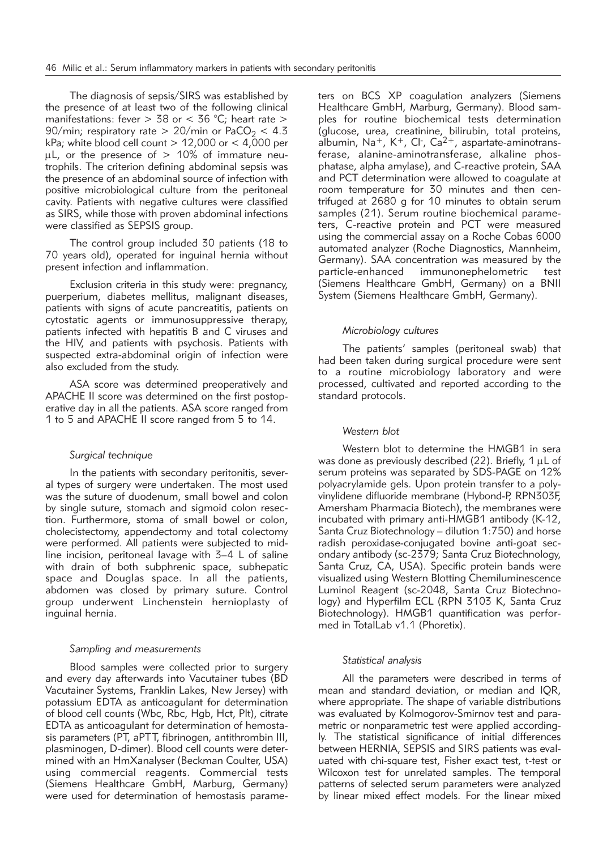The diagnosis of sepsis/SIRS was established by the presence of at least two of the following clinical manifestations: fever  $> 38$  or  $< 36$  °C; heart rate  $>$ 90/min; respiratory rate > 20/min or PaCO<sub>2</sub> < 4.3 kPa; white blood cell count  $> 12,000$  or  $< 4,000$  per  $\mu$ L, or the presence of  $> 10\%$  of immature neutrophils. The criterion defining abdominal sepsis was the presence of an abdominal source of infection with positive microbiological culture from the peritoneal cavity. Patients with negative cultures were classified as SIRS, while those with proven abdominal infections were classified as SEPSIS group.

The control group included 30 patients (18 to 70 years old), operated for inguinal hernia without present infection and inflammation.

Exclusion criteria in this study were: pregnancy, puerperium, diabetes mellitus, malignant diseases, patients with signs of acute pancreatitis, patients on cytostatic agents or immunosuppressive therapy, patients infected with hepatitis B and C viruses and the HIV, and patients with psychosis. Patients with suspected extra-abdominal origin of infection were also excluded from the study.

ASA score was determined preoperatively and APACHE II score was determined on the first postoperative day in all the patients. ASA score ranged from 1 to 5 and APACHE II score ranged from 5 to 14.

## *Surgical technique*

In the patients with secondary peritonitis, several types of surgery were undertaken. The most used was the suture of duodenum, small bowel and colon by single suture, stomach and sigmoid colon resection. Furthermore, stoma of small bowel or colon, cholecistectomy, appendectomy and total colectomy were performed. All patients were subjected to midline incision, peritoneal lavage with 3–4 L of saline with drain of both subphrenic space, subhepatic space and Douglas space. In all the patients, abdomen was closed by primary suture. Control group underwent Linchenstein hernioplasty of inguinal hernia.

### *Sampling and measurements*

Blood samples were collected prior to surgery and every day afterwards into Vacutainer tubes (BD Vacutainer Systems, Franklin Lakes, New Jersey) with potassium EDTA as anticoagulant for determination of blood cell counts (Wbc, Rbc, Hgb, Hct, Plt), citrate EDTA as anticoagulant for determination of hemostasis parameters (PT, aPTT, fibrinogen, antithrombin III, plasminogen, D-dimer). Blood cell counts were determined with an HmXanalyser (Beckman Coulter, USA) using commercial reagents. Commercial tests (Siemens Healthcare GmbH, Marburg, Germany) were used for determination of hemostasis parameters on BCS XP coagulation analyzers (Siemens Healthcare GmbH, Marburg, Germany). Blood samples for routine biochemical tests determination (glucose, urea, creatinine, bilirubin, total proteins, albumin, Na<sup>+</sup>, K<sup>+</sup>, Cl-, Ca<sup>2+</sup>, aspartate-aminotransferase, alanine-aminotransferase, alkaline phosphatase, alpha amylase), and C-reactive protein, SAA and PCT determination were allowed to coagulate at room temperature for 30 minutes and then centrifuged at 2680 g for 10 minutes to obtain serum samples (21). Serum routine biochemical parameters, C-reactive protein and PCT were measured using the commercial assay on a Roche Cobas 6000 automated analyzer (Roche Diagnostics, Mannheim, Germany). SAA concentration was measured by the particle-enhanced immunonephelometric test (Siemens Healthcare GmbH, Germany) on a BNII System (Siemens Healthcare GmbH, Germany).

# *Microbiology cultures*

The patients' samples (peritoneal swab) that had been taken during surgical procedure were sent to a routine microbiology laboratory and were processed, cultivated and reported according to the standard protocols.

# *Western blot*

Western blot to determine the HMGB1 in sera was done as previously described (22). Briefly,  $1 \mu L$  of serum proteins was separated by SDS-PAGE on 12% polyacrylamide gels. Upon protein transfer to a polyvinylidene difluoride membrane (Hybond-P, RPN303F, Amersham Pharmacia Biotech), the membranes were incubated with primary anti-HMGB1 antibody (K-12, Santa Cruz Biotechnology – dilution 1:750) and horse radish peroxidase-conjugated bovine anti-goat secondary antibody (sc-2379; Santa Cruz Biotechnology, Santa Cruz, CA, USA). Specific protein bands were visualized using Western Blotting Chemiluminescence Luminol Reagent (sc-2048, Santa Cruz Biotechnology) and Hyperfilm ECL (RPN 3103 K, Santa Cruz Biotechnology). HMGB1 quantification was performed in TotalLab v1.1 (Phoretix).

### *Statistical analysis*

All the parameters were described in terms of mean and standard deviation, or median and IQR, where appropriate. The shape of variable distributions was evaluated by Kolmogorov-Smirnov test and parametric or nonparametric test were applied accordingly. The statistical significance of initial differences between HERNIA, SEPSIS and SIRS patients was evaluated with chi-square test, Fisher exact test, t-test or Wilcoxon test for unrelated samples. The temporal patterns of selected serum parameters were analyzed by linear mixed effect models. For the linear mixed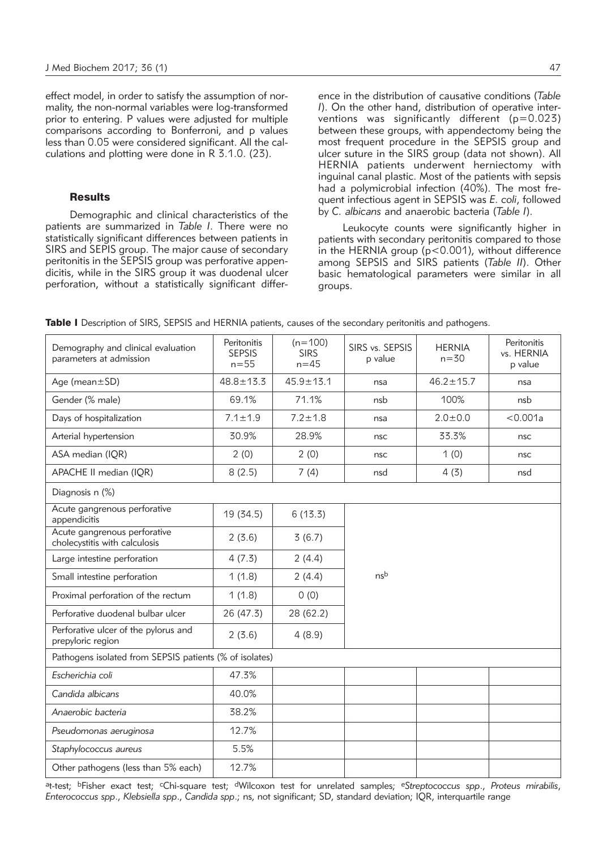effect model, in order to satisfy the assumption of normality, the non-normal variables were log-transformed prior to entering. P values were adjusted for multiple comparisons according to Bonferroni, and p values less than 0.05 were considered significant. All the calculations and plotting were done in R 3.1.0. (23).

# **Results**

Demographic and clinical characteristics of the patients are summarized in *Table I*. There were no statistically significant differences between patients in SIRS and SEPIS group. The major cause of secondary peritonitis in the SEPSIS group was perforative appendicitis, while in the SIRS group it was duodenal ulcer perforation, without a statistically significant difference in the distribution of causative conditions (*Table I*). On the other hand, distribution of operative interventions was significantly different (p=0.023) between these groups, with appendectomy being the most frequent procedure in the SEPSIS group and ulcer suture in the SIRS group (data not shown). All HERNIA patients underwent herniectomy with inguinal canal plastic. Most of the patients with sepsis had a polymicrobial infection (40%). The most frequent infectious agent in SEPSIS was *E. coli*, followed by *C. albicans* and anaerobic bacteria (*Table I*).

Leukocyte counts were significantly higher in patients with secondary peritonitis compared to those in the HERNIA group (p<0.001), without difference among SEPSIS and SIRS patients (*Table II*). Other basic hematological parameters were similar in all groups.

|  |  |  |  |  | Table I Description of SIRS, SEPSIS and HERNIA patients, causes of the secondary peritonitis and pathogens. |
|--|--|--|--|--|-------------------------------------------------------------------------------------------------------------|
|--|--|--|--|--|-------------------------------------------------------------------------------------------------------------|

| Demography and clinical evaluation<br>parameters at admission | Peritonitis<br><b>SEPSIS</b><br>$n = 55$ | $(n=100)$<br><b>SIRS</b><br>$n=45$ | SIRS vs. SEPSIS<br>p value | <b>HERNIA</b><br>$n = 30$ | Peritonitis<br>vs. HERNIA<br>p value |  |  |
|---------------------------------------------------------------|------------------------------------------|------------------------------------|----------------------------|---------------------------|--------------------------------------|--|--|
| Age (mean±SD)                                                 | $48.8 \pm 13.3$                          | $45.9 \pm 13.1$                    | nsa                        | $46.2 \pm 15.7$           | nsa                                  |  |  |
| Gender (% male)                                               | 69.1%                                    | 71.1%                              | nsb                        | 100%                      | nsb                                  |  |  |
| Days of hospitalization                                       | $7.1 \pm 1.9$                            | $7.2 \pm 1.8$                      | nsa                        | $2.0 \pm 0.0$             | < 0.001a                             |  |  |
| Arterial hypertension                                         | 30.9%                                    | 28.9%                              | nsc                        | 33.3%                     | nsc                                  |  |  |
| ASA median (IQR)                                              | 2(0)                                     | 2(0)                               | nsc                        | 1(0)                      | nsc                                  |  |  |
| APACHE II median (IQR)                                        | 8(2.5)                                   | 7(4)                               | nsd                        | 4(3)                      | nsd                                  |  |  |
| Diagnosis n (%)                                               |                                          |                                    |                            |                           |                                      |  |  |
| Acute gangrenous perforative<br>appendicitis                  | 19 (34.5)                                | 6(13.3)                            |                            |                           |                                      |  |  |
| Acute gangrenous perforative<br>cholecystitis with calculosis | 2(3.6)                                   | 3(6.7)                             |                            |                           |                                      |  |  |
| Large intestine perforation                                   | 4(7.3)                                   | 2(4.4)                             |                            |                           |                                      |  |  |
| Small intestine perforation                                   | 1(1.8)                                   | 2(4.4)                             | nsb                        |                           |                                      |  |  |
| Proximal perforation of the rectum                            | 1(1.8)                                   | 0(0)                               |                            |                           |                                      |  |  |
| Perforative duodenal bulbar ulcer                             | 26 (47.3)                                | 28 (62.2)                          |                            |                           |                                      |  |  |
| Perforative ulcer of the pylorus and<br>prepyloric region     | 2(3.6)                                   | 4(8.9)                             |                            |                           |                                      |  |  |
| Pathogens isolated from SEPSIS patients (% of isolates)       |                                          |                                    |                            |                           |                                      |  |  |
| Escherichia coli                                              | 47.3%                                    |                                    |                            |                           |                                      |  |  |
| Candida albicans                                              | 40.0%                                    |                                    |                            |                           |                                      |  |  |
| Anaerobic bacteria                                            | 38.2%                                    |                                    |                            |                           |                                      |  |  |
| Pseudomonas aeruginosa                                        | 12.7%                                    |                                    |                            |                           |                                      |  |  |
| Staphylococcus aureus                                         | 5.5%                                     |                                    |                            |                           |                                      |  |  |
| Other pathogens (less than 5% each)                           | 12.7%                                    |                                    |                            |                           |                                      |  |  |

at-test; bFisher exact test; cChi-square test; dWilcoxon test for unrelated samples; e*Streptococcus spp*., *Proteus mirabilis*, *Enterococcus spp*., *Klebsiella spp*., *Candida spp*.; ns, not significant; SD, standard deviation; IQR, interquartile range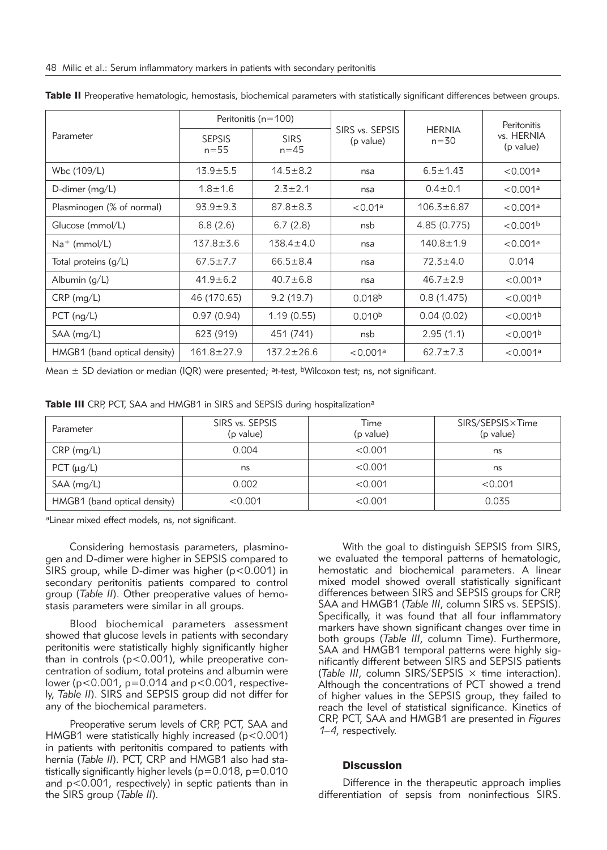|                              | Peritonitis ( $n = 100$ ) |                         |                              |                           | Peritonitis             |
|------------------------------|---------------------------|-------------------------|------------------------------|---------------------------|-------------------------|
| Parameter                    | <b>SEPSIS</b><br>$n = 55$ | <b>SIRS</b><br>$n = 45$ | SIRS vs. SEPSIS<br>(p value) | <b>HERNIA</b><br>$n = 30$ | vs. HERNIA<br>(p value) |
| Wbc (109/L)                  | $13.9 + 5.5$              | $14.5 \pm 8.2$          | nsa                          | $6.5 \pm 1.43$            | < 0.001a                |
| D-dimer $(mq/L)$             | $1.8 + 1.6$               | $2.3 \pm 2.1$           | nsa                          | $0.4 \pm 0.1$             | < 0.001a                |
| Plasminogen (% of normal)    | $93.9 + 9.3$              | $87.8 \pm 8.3$          | < 0.01a                      | $106.3 \pm 6.87$          | < 0.001a                |
| Glucose (mmol/L)             | 6.8(2.6)                  | 6.7(2.8)                | nsb                          | 4.85 (0.775)              | < 0.001 <sup>b</sup>    |
| $Na^+$ (mmol/L)              | $137.8 \pm 3.6$           | $138.4 \pm 4.0$         | nsa                          | $140.8 \pm 1.9$           | < 0.001a                |
| Total proteins $(q/L)$       | $67.5 \pm 7.7$            | $66.5 \pm 8.4$          | nsa                          | $72.3 \pm 4.0$            | 0.014                   |
| Albumin (g/L)                | $41.9 \pm 6.2$            | $40.7 \pm 6.8$          | nsa                          | $46.7 \pm 2.9$            | < 0.001a                |
| $CRP$ (mg/L)                 | 46 (170.65)               | 9.2(19.7)               | 0.018 <sup>b</sup>           | 0.8(1.475)                | < 0.001 <sup>b</sup>    |
| $PCT$ (ng/L)                 | 0.97(0.94)                | 1.19(0.55)              | 0.010 <sup>b</sup>           | 0.04(0.02)                | < 0.001 <sup>b</sup>    |
| SAA (mg/L)                   | 623 (919)                 | 451 (741)               | nsb                          | 2.95(1.1)                 | < 0.001 <sup>b</sup>    |
| HMGB1 (band optical density) | $161.8 \pm 27.9$          | $137.2 \pm 26.6$        | < 0.001a                     | $62.7 \pm 7.3$            | < 0.001a                |

Table II Preoperative hematologic, hemostasis, biochemical parameters with statistically significant differences between groups.

Mean  $\pm$  SD deviation or median (IQR) were presented; <sup>a</sup>t-test, <sup>b</sup>Wilcoxon test; ns, not significant.

|  |  |  |  |  |  |  | Table III CRP, PCT, SAA and HMGB1 in SIRS and SEPSIS during hospitalization <sup>a</sup> |
|--|--|--|--|--|--|--|------------------------------------------------------------------------------------------|
|--|--|--|--|--|--|--|------------------------------------------------------------------------------------------|

| Parameter                    | SIRS vs. SEPSIS<br>(p value) | Time<br>(p value) | SIRS/SEPSIS×Time<br>(p value) |  |
|------------------------------|------------------------------|-------------------|-------------------------------|--|
| $CRP$ (mg/L)                 | 0.004                        | < 0.001           | ns                            |  |
| PCT $(\mu q/L)$              | ns                           | < 0.001           | ns                            |  |
| $SAA$ (mg/L)                 | 0.002                        | < 0.001           | < 0.001                       |  |
| HMGB1 (band optical density) | < 0.001                      | < 0.001           | 0.035                         |  |

aLinear mixed effect models, ns, not significant.

Considering hemostasis parameters, plasminogen and D-dimer were higher in SEPSIS compared to SIRS group, while D-dimer was higher (p<0.001) in secondary peritonitis patients compared to control group (*Table II*). Other preoperative values of hemostasis parameters were similar in all groups.

Blood biochemical parameters assessment showed that glucose levels in patients with secondary peritonitis were statistically highly significantly higher than in controls (p<0.001), while preoperative concentration of sodium, total proteins and albumin were lower ( $p < 0.001$ ,  $p = 0.014$  and  $p < 0.001$ , respectively, *Table II*). SIRS and SEPSIS group did not differ for any of the biochemical parameters.

Preoperative serum levels of CRP, PCT, SAA and HMGB1 were statistically highly increased (p<0.001) in patients with peritonitis compared to patients with hernia (*Table II*). PCT, CRP and HMGB1 also had statistically significantly higher levels (p=0.018, p=0.010 and p<0.001, respectively) in septic patients than in the SIRS group (*Table II*).

With the goal to distinguish SEPSIS from SIRS, we evaluated the temporal patterns of hematologic, hemostatic and biochemical parameters. A linear mixed model showed overall statistically significant differences between SIRS and SEPSIS groups for CRP, SAA and HMGB1 (*Table III*, column SIRS vs. SEPSIS). Specifically, it was found that all four inflammatory markers have shown significant changes over time in both groups (*Table III*, column Time). Furthermore, SAA and HMGB1 temporal patterns were highly significantly different between SIRS and SEPSIS patients (*Table III*, column SIRS/SEPSIS × time interaction). Although the concentrations of PCT showed a trend of higher values in the SEPSIS group, they failed to reach the level of statistical significance. Kinetics of CRP, PCT, SAA and HMGB1 are presented in *Figures 1–4*, respectively.

# **Discussion**

Difference in the therapeutic approach implies differentiation of sepsis from noninfectious SIRS.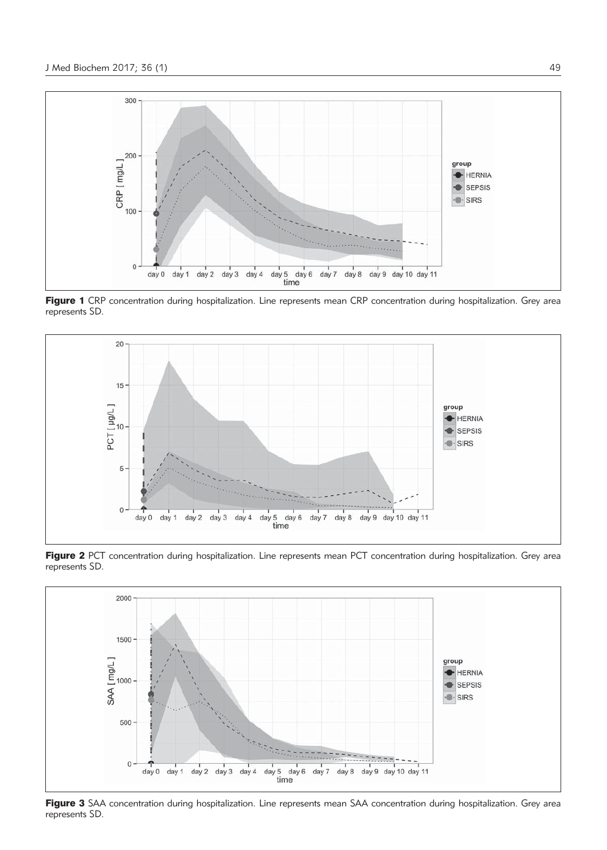

Figure 1 CRP concentration during hospitalization. Line represents mean CRP concentration during hospitalization. Grey area represents SD.



Figure 2 PCT concentration during hospitalization. Line represents mean PCT concentration during hospitalization. Grey area represents SD.



Figure 3 SAA concentration during hospitalization. Line represents mean SAA concentration during hospitalization. Grey area represents SD.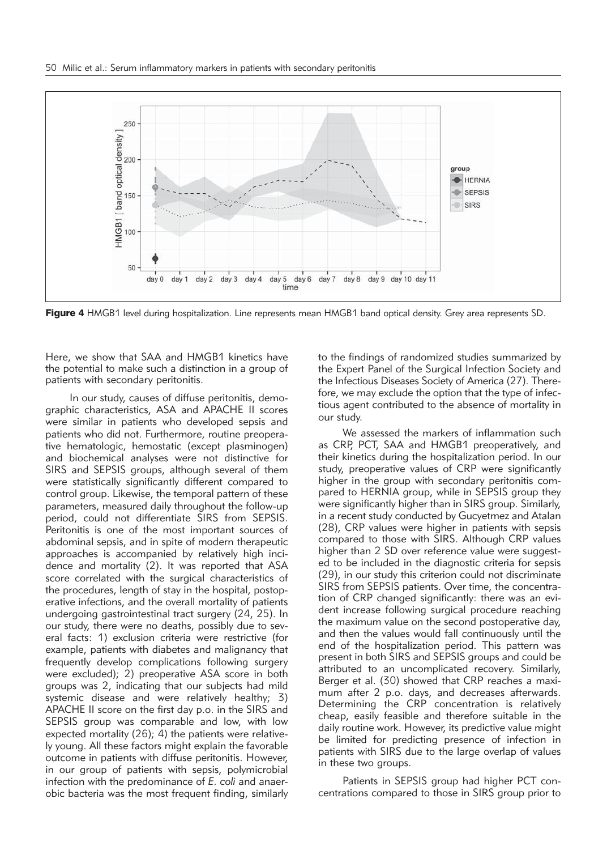

Figure 4 HMGB1 level during hospitalization. Line represents mean HMGB1 band optical density. Grey area represents SD.

Here, we show that SAA and HMGB1 kinetics have the potential to make such a distinction in a group of patients with secondary peritonitis.

In our study, causes of diffuse peritonitis, demographic characteristics, ASA and APACHE II scores were similar in patients who developed sepsis and patients who did not. Furthermore, routine preoperative hematologic, hemostatic (except plasminogen) and biochemical analyses were not distinctive for SIRS and SEPSIS groups, although several of them were statistically significantly different compared to control group. Likewise, the temporal pattern of these parameters, measured daily throughout the follow-up period, could not differentiate SIRS from SEPSIS. Peritonitis is one of the most important sources of abdominal sepsis, and in spite of modern therapeutic approaches is accompanied by relatively high incidence and mortality (2). It was reported that ASA score correlated with the surgical characteristics of the procedures, length of stay in the hospital, postoperative infections, and the overall mortality of patients undergoing gastrointestinal tract surgery (24, 25). In our study, there were no deaths, possibly due to several facts: 1) exclusion criteria were restrictive (for example, patients with diabetes and malignancy that frequently develop complications following surgery were excluded); 2) preoperative ASA score in both groups was 2, indicating that our subjects had mild systemic disease and were relatively healthy; 3) APACHE II score on the first day p.o. in the SIRS and SEPSIS group was comparable and low, with low expected mortality (26); 4) the patients were relatively young. All these factors might explain the favorable outcome in patients with diffuse peritonitis. However, in our group of patients with sepsis, polymicrobial infection with the predominance of *E. coli* and anaerobic bacteria was the most frequent finding, similarly

to the findings of randomized studies summarized by the Expert Panel of the Surgical Infection Society and the Infectious Diseases Society of America (27). There fore, we may exclude the option that the type of infectious agent contributed to the absence of mortality in our study.

We assessed the markers of inflammation such as CRP, PCT, SAA and HMGB1 preoperatively, and their kinetics during the hospitalization period. In our study, preoperative values of CRP were significantly higher in the group with secondary peritonitis compared to HERNIA group, while in SEPSIS group they were significantly higher than in SIRS group. Similarly, in a recent study conducted by Gucyetmez and Atalan (28), CRP values were higher in patients with sepsis compared to those with SIRS. Although CRP values higher than 2 SD over reference value were suggested to be included in the diagnostic criteria for sepsis (29), in our study this criterion could not discriminate SIRS from SEPSIS patients. Over time, the concentration of CRP changed significantly: there was an evident increase following surgical procedure reaching the maximum value on the second postoperative day, and then the values would fall continuously until the end of the hospitalization period. This pattern was present in both SIRS and SEPSIS groups and could be attributed to an uncomplicated recovery. Similarly, Berger et al. (30) showed that CRP reaches a maximum after 2 p.o. days, and decreases afterwards. Determining the CRP concentration is relatively cheap, easily feasible and therefore suitable in the daily routine work. However, its predictive value might be limited for predicting presence of infection in patients with SIRS due to the large overlap of values in these two groups.

Patients in SEPSIS group had higher PCT concentrations compared to those in SIRS group prior to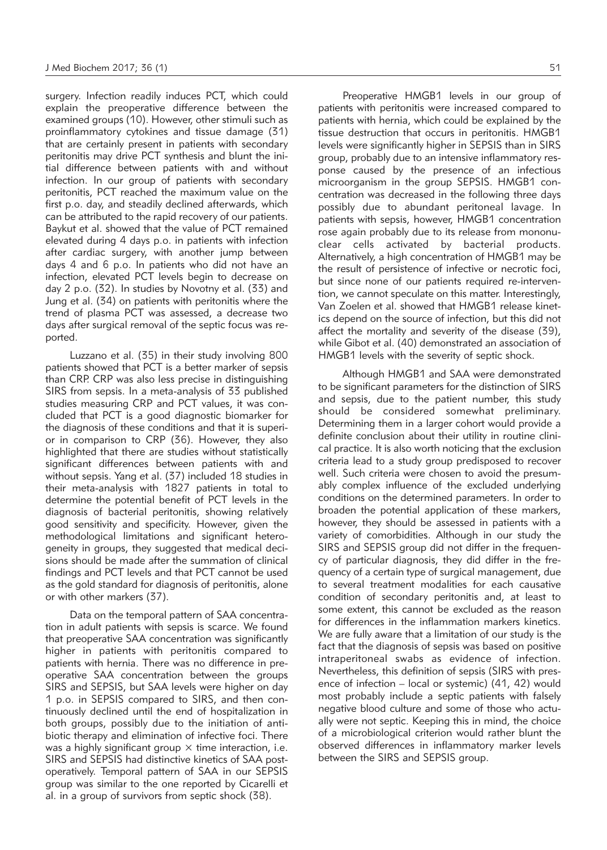surgery. Infection readily induces PCT, which could explain the preoperative difference between the examined groups (10). However, other stimuli such as proinflammatory cytokines and tissue damage (31) that are certainly present in patients with secondary peritonitis may drive PCT synthesis and blunt the initial difference between patients with and without infection. In our group of patients with secondary peritonitis, PCT reached the maximum value on the first p.o. day, and steadily declined afterwards, which can be attributed to the rapid recovery of our patients. Baykut et al. showed that the value of PCT remained elevated during 4 days p.o. in patients with infection after cardiac surgery, with another jump between days 4 and 6 p.o. In patients who did not have an infection, elevated PCT levels begin to decrease on day 2 p.o. (32). In studies by Novotny et al. (33) and Jung et al. (34) on patients with peritonitis where the trend of plasma PCT was assessed, a decrease two days after surgical removal of the septic focus was reported.

Luzzano et al. (35) in their study involving 800 patients showed that PCT is a better marker of sepsis than CRP. CRP was also less precise in distinguishing SIRS from sepsis. In a meta-analysis of 33 published studies measuring CRP and PCT values, it was concluded that PCT is a good diagnostic biomarker for the diagnosis of these conditions and that it is superior in comparison to CRP (36). However, they also highlighted that there are studies without statistically significant differences between patients with and without sepsis. Yang et al. (37) included 18 studies in their meta-analysis with 1827 patients in total to determine the potential benefit of PCT levels in the diagnosis of bacterial peritonitis, showing relatively good sensitivity and specificity. However, given the methodological limitations and significant heterogeneity in groups, they suggested that medical decisions should be made after the summation of clinical findings and PCT levels and that PCT cannot be used as the gold standard for diagnosis of peritonitis, alone or with other markers (37).

Data on the temporal pattern of SAA concentration in adult patients with sepsis is scarce. We found that preoperative SAA concentration was significantly higher in patients with peritonitis compared to patients with hernia. There was no difference in preoperative SAA concentration between the groups SIRS and SEPSIS, but SAA levels were higher on day 1 p.o. in SEPSIS compared to SIRS, and then continuously declined until the end of hospitalization in both groups, possibly due to the initiation of antibiotic therapy and elimination of infective foci. There was a highly significant group  $\times$  time interaction, i.e. SIRS and SEPSIS had distinctive kinetics of SAA postoperatively. Temporal pattern of SAA in our SEPSIS group was similar to the one reported by Cicarelli et al. in a group of survivors from septic shock (38).

Preoperative HMGB1 levels in our group of patients with peritonitis were increased compared to patients with hernia, which could be explained by the tissue destruction that occurs in peritonitis. HMGB1 levels were significantly higher in SEPSIS than in SIRS group, probably due to an intensive inflammatory response caused by the presence of an infectious microorganism in the group SEPSIS. HMGB1 concentration was decreased in the following three days possibly due to abundant peritoneal lavage. In patients with sepsis, however, HMGB1 concentration rose again probably due to its release from mononuclear cells activated by bacterial products. Alternatively, a high concentration of HMGB1 may be the result of persistence of infective or necrotic foci, but since none of our patients required re-intervention, we cannot speculate on this matter. Interestingly, Van Zoelen et al. showed that HMGB1 release kinetics depend on the source of infection, but this did not affect the mortality and severity of the disease (39), while Gibot et al. (40) demonstrated an association of HMGB1 levels with the severity of septic shock.

Although HMGB1 and SAA were demonstrated to be significant parameters for the distinction of SIRS and sepsis, due to the patient number, this study should be considered somewhat preliminary. Determining them in a larger cohort would provide a definite conclusion about their utility in routine clinical practice. It is also worth noticing that the exclusion criteria lead to a study group predisposed to recover well. Such criteria were chosen to avoid the presumably complex influence of the excluded underlying conditions on the determined parameters. In order to broaden the potential application of these markers, however, they should be assessed in patients with a variety of comorbidities. Although in our study the SIRS and SEPSIS group did not differ in the frequency of particular diagnosis, they did differ in the frequency of a certain type of surgical management, due to several treatment modalities for each causative condition of secondary peritonitis and, at least to some extent, this cannot be excluded as the reason for differences in the inflammation markers kinetics. We are fully aware that a limitation of our study is the fact that the diagnosis of sepsis was based on positive intraperitoneal swabs as evidence of infection. Nevertheless, this definition of sepsis (SIRS with presence of infection – local or systemic) (41, 42) would most probably include a septic patients with falsely negative blood culture and some of those who actually were not septic. Keeping this in mind, the choice of a microbiological criterion would rather blunt the observed differences in inflammatory marker levels between the SIRS and SEPSIS group.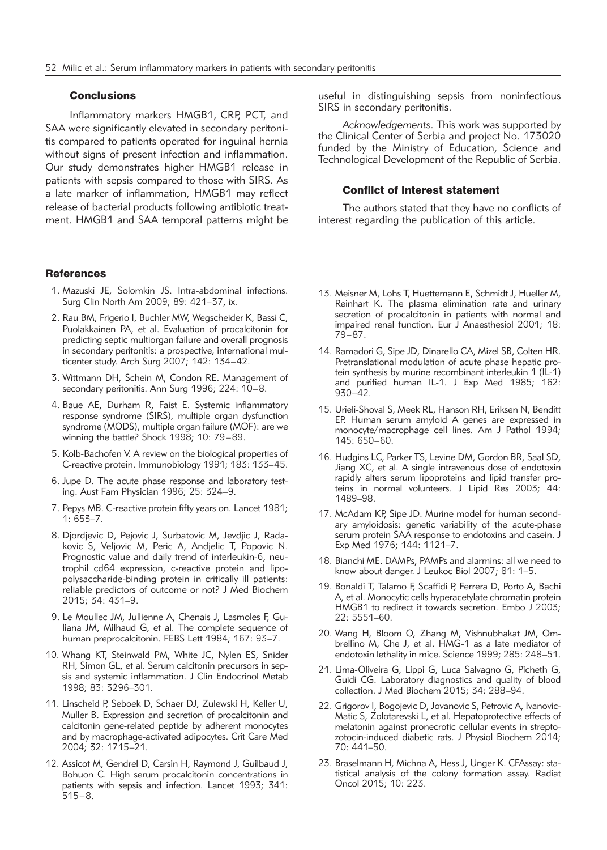# **Conclusions**

Inflammatory markers HMGB1, CRP, PCT, and SAA were significantly elevated in secondary peritonitis compared to patients operated for inguinal hernia without signs of present infection and inflammation. Our study demonstrates higher HMGB1 release in patients with sepsis compared to those with SIRS. As a late marker of inflammation, HMGB1 may reflect release of bacterial products following antibiotic treatment. HMGB1 and SAA temporal patterns might be

# **References**

- 1. Mazuski JE, Solomkin JS. Intra-abdominal infections. Surg Clin North Am 2009; 89: 421–37, ix.
- 2. Rau BM, Frigerio I, Buchler MW, Wegscheider K, Bassi C, Puolakkainen PA, et al. Evaluation of procalcitonin for predicting septic multiorgan failure and overall prognosis in secondary peritonitis: a prospective, international multicenter study. Arch Surg 2007; 142: 134–42.
- 3. Wittmann DH, Schein M, Condon RE. Management of secondary peritonitis. Ann Surg 1996; 224: 10–8.
- 4. Baue AE, Durham R, Faist E. Systemic inflammatory response syndrome (SIRS), multiple organ dysfunction syndrome (MODS), multiple organ failure (MOF): are we winning the battle? Shock 1998; 10: 79–89.
- 5. Kolb-Bachofen V. A review on the biological properties of C-reactive protein. Immunobiology 1991; 183: 133–45.
- 6. Jupe D. The acute phase response and laboratory testing. Aust Fam Physician 1996; 25: 324–9.
- 7. Pepys MB. C-reactive protein fifty years on. Lancet 1981; 1: 653–7.
- 8. Djordjevic D, Pejovic J, Surbatovic M, Jevdjic J, Radakovic S, Veljovic M, Peric A, Andjelic T, Popovic N. Prognostic value and daily trend of interleukin-6, neutrophil cd64 expression, c-reactive protein and lipopolysaccharide-binding protein in critically ill patients: reliable predictors of outcome or not? J Med Biochem 2015; 34: 431–9.
- 9. Le Moullec JM, Jullienne A, Chenais J, Lasmoles F, Guliana JM, Milhaud G, et al. The complete sequence of human preprocalcitonin. FEBS Lett 1984; 167: 93–7.
- 10. Whang KT, Steinwald PM, White JC, Nylen ES, Snider RH, Simon GL, et al. Serum calcitonin precursors in sepsis and systemic inflammation. J Clin Endocrinol Metab 1998; 83: 3296–301.
- 11. Linscheid P, Seboek D, Schaer DJ, Zulewski H, Keller U, Muller B. Expression and secretion of procalcitonin and calcitonin gene-related peptide by adherent monocytes and by macrophage-activated adipocytes. Crit Care Med 2004; 32: 1715–21.
- 12. Assicot M, Gendrel D, Carsin H, Raymond J, Guilbaud J, Bohuon C. High serum procalcitonin concentrations in patients with sepsis and infection. Lancet 1993; 341: 515–8.

useful in distinguishing sepsis from noninfectious SIRS in secondary peritonitis.

*Acknowledgements*. This work was supported by the Clinical Center of Serbia and project No. 173020 funded by the Ministry of Education, Science and Technological Development of the Republic of Serbia.

## Conflict of interest statement

The authors stated that they have no conflicts of interest regarding the publication of this article.

- 13. Meisner M, Lohs T, Huettemann E, Schmidt J, Hueller M, Reinhart K. The plasma elimination rate and urinary secretion of procalcitonin in patients with normal and impaired renal function. Eur J Anaesthesiol 2001; 18: 79–87.
- 14. Ramadori G, Sipe JD, Dinarello CA, Mizel SB, Colten HR. Pretranslational modulation of acute phase hepatic protein synthesis by murine recombinant interleukin 1 (IL-1) and purified human IL-1. J Exp Med 1985; 162: 930–42.
- 15. Urieli-Shoval S, Meek RL, Hanson RH, Eriksen N, Benditt EP. Human serum amyloid A genes are expressed in monocyte/macrophage cell lines. Am J Pathol 1994; 145: 650–60.
- 16. Hudgins LC, Parker TS, Levine DM, Gordon BR, Saal SD, Jiang XC, et al. A single intravenous dose of endotoxin rapidly alters serum lipoproteins and lipid transfer proteins in normal volunteers. J Lipid Res 2003; 44: 1489–98.
- 17. McAdam KP, Sipe JD. Murine model for human secondary amyloidosis: genetic variability of the acute-phase serum protein SAA response to endotoxins and casein. J Exp Med 1976; 144: 1121–7.
- 18. Bianchi ME. DAMPs, PAMPs and alarmins: all we need to know about danger. J Leukoc Biol 2007; 81: 1–5.
- 19. Bonaldi T, Talamo F, Scaffidi P, Ferrera D, Porto A, Bachi A, et al. Monocytic cells hyperacetylate chromatin protein HMGB1 to redirect it towards secretion. Embo J 2003; 22: 5551–60.
- 20. Wang H, Bloom O, Zhang M, Vishnubhakat JM, Ombrellino M, Che J, et al. HMG-1 as a late mediator of endotoxin lethality in mice. Science 1999; 285: 248–51.
- 21. Lima-Oliveira G, Lippi G, Luca Salvagno G, Picheth G, Guidi CG. Laboratory diagnostics and quality of blood collection. J Med Biochem 2015; 34: 288–94.
- 22. Grigorov I, Bogojevic D, Jovanovic S, Petrovic A, Ivanovic-Matic S, Zolotarevski L, et al. Hepatoprotective effects of melatonin against pronecrotic cellular events in streptozotocin-induced diabetic rats. J Physiol Biochem 2014; 70: 441–50.
- 23. Braselmann H, Michna A, Hess J, Unger K. CFAssay: statistical analysis of the colony formation assay. Radiat Oncol 2015; 10: 223.